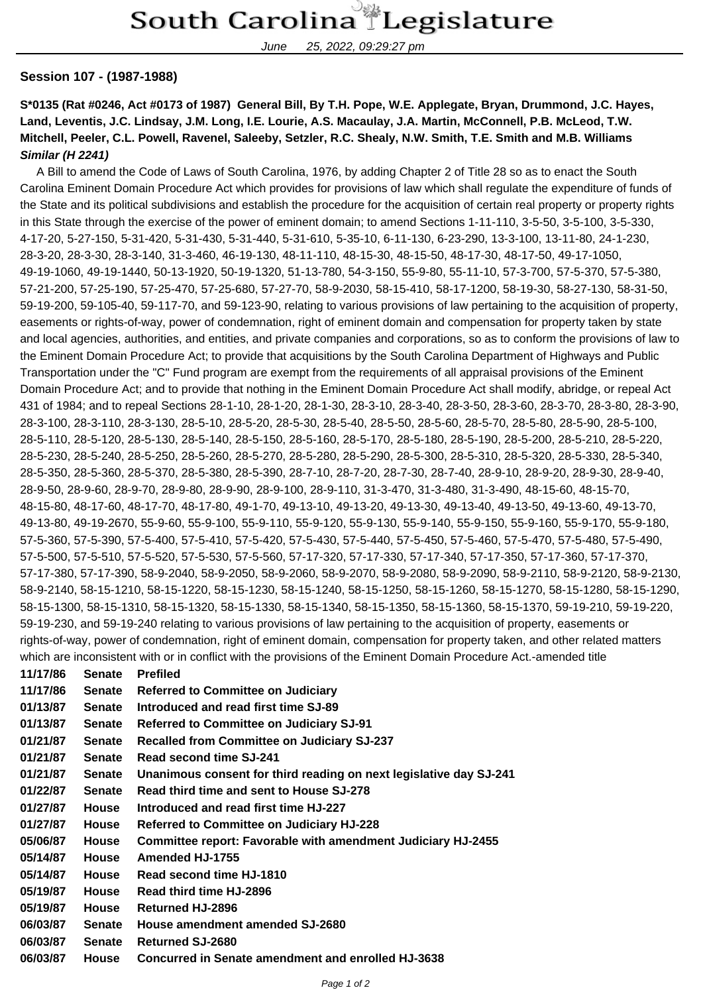## South Carolina Legislature

June 25, 2022, 09:29:27 pm

## **Session 107 - (1987-1988)**

## **S\*0135 (Rat #0246, Act #0173 of 1987) General Bill, By T.H. Pope, W.E. Applegate, Bryan, Drummond, J.C. Hayes, Land, Leventis, J.C. Lindsay, J.M. Long, I.E. Lourie, A.S. Macaulay, J.A. Martin, McConnell, P.B. McLeod, T.W. Mitchell, Peeler, C.L. Powell, Ravenel, Saleeby, Setzler, R.C. Shealy, N.W. Smith, T.E. Smith and M.B. Williams Similar (H 2241)**

 A Bill to amend the Code of Laws of South Carolina, 1976, by adding Chapter 2 of Title 28 so as to enact the South Carolina Eminent Domain Procedure Act which provides for provisions of law which shall regulate the expenditure of funds of the State and its political subdivisions and establish the procedure for the acquisition of certain real property or property rights in this State through the exercise of the power of eminent domain; to amend Sections 1-11-110, 3-5-50, 3-5-100, 3-5-330, 4-17-20, 5-27-150, 5-31-420, 5-31-430, 5-31-440, 5-31-610, 5-35-10, 6-11-130, 6-23-290, 13-3-100, 13-11-80, 24-1-230, 28-3-20, 28-3-30, 28-3-140, 31-3-460, 46-19-130, 48-11-110, 48-15-30, 48-15-50, 48-17-30, 48-17-50, 49-17-1050, 49-19-1060, 49-19-1440, 50-13-1920, 50-19-1320, 51-13-780, 54-3-150, 55-9-80, 55-11-10, 57-3-700, 57-5-370, 57-5-380, 57-21-200, 57-25-190, 57-25-470, 57-25-680, 57-27-70, 58-9-2030, 58-15-410, 58-17-1200, 58-19-30, 58-27-130, 58-31-50, 59-19-200, 59-105-40, 59-117-70, and 59-123-90, relating to various provisions of law pertaining to the acquisition of property, easements or rights-of-way, power of condemnation, right of eminent domain and compensation for property taken by state and local agencies, authorities, and entities, and private companies and corporations, so as to conform the provisions of law to the Eminent Domain Procedure Act; to provide that acquisitions by the South Carolina Department of Highways and Public Transportation under the "C" Fund program are exempt from the requirements of all appraisal provisions of the Eminent Domain Procedure Act; and to provide that nothing in the Eminent Domain Procedure Act shall modify, abridge, or repeal Act 431 of 1984; and to repeal Sections 28-1-10, 28-1-20, 28-1-30, 28-3-10, 28-3-40, 28-3-50, 28-3-60, 28-3-70, 28-3-80, 28-3-90, 28-3-100, 28-3-110, 28-3-130, 28-5-10, 28-5-20, 28-5-30, 28-5-40, 28-5-50, 28-5-60, 28-5-70, 28-5-80, 28-5-90, 28-5-100, 28-5-110, 28-5-120, 28-5-130, 28-5-140, 28-5-150, 28-5-160, 28-5-170, 28-5-180, 28-5-190, 28-5-200, 28-5-210, 28-5-220, 28-5-230, 28-5-240, 28-5-250, 28-5-260, 28-5-270, 28-5-280, 28-5-290, 28-5-300, 28-5-310, 28-5-320, 28-5-330, 28-5-340, 28-5-350, 28-5-360, 28-5-370, 28-5-380, 28-5-390, 28-7-10, 28-7-20, 28-7-30, 28-7-40, 28-9-10, 28-9-20, 28-9-30, 28-9-40, 28-9-50, 28-9-60, 28-9-70, 28-9-80, 28-9-90, 28-9-100, 28-9-110, 31-3-470, 31-3-480, 31-3-490, 48-15-60, 48-15-70, 48-15-80, 48-17-60, 48-17-70, 48-17-80, 49-1-70, 49-13-10, 49-13-20, 49-13-30, 49-13-40, 49-13-50, 49-13-60, 49-13-70, 49-13-80, 49-19-2670, 55-9-60, 55-9-100, 55-9-110, 55-9-120, 55-9-130, 55-9-140, 55-9-150, 55-9-160, 55-9-170, 55-9-180, 57-5-360, 57-5-390, 57-5-400, 57-5-410, 57-5-420, 57-5-430, 57-5-440, 57-5-450, 57-5-460, 57-5-470, 57-5-480, 57-5-490, 57-5-500, 57-5-510, 57-5-520, 57-5-530, 57-5-560, 57-17-320, 57-17-330, 57-17-340, 57-17-350, 57-17-360, 57-17-370, 57-17-380, 57-17-390, 58-9-2040, 58-9-2050, 58-9-2060, 58-9-2070, 58-9-2080, 58-9-2090, 58-9-2110, 58-9-2120, 58-9-2130, 58-9-2140, 58-15-1210, 58-15-1220, 58-15-1230, 58-15-1240, 58-15-1250, 58-15-1260, 58-15-1270, 58-15-1280, 58-15-1290, 58-15-1300, 58-15-1310, 58-15-1320, 58-15-1330, 58-15-1340, 58-15-1350, 58-15-1360, 58-15-1370, 59-19-210, 59-19-220, 59-19-230, and 59-19-240 relating to various provisions of law pertaining to the acquisition of property, easements or rights-of-way, power of condemnation, right of eminent domain, compensation for property taken, and other related matters which are inconsistent with or in conflict with the provisions of the Eminent Domain Procedure Act.-amended title

| 11/17/86 | <b>Senate</b> | <b>Prefiled</b>                                                     |
|----------|---------------|---------------------------------------------------------------------|
| 11/17/86 | <b>Senate</b> | <b>Referred to Committee on Judiciary</b>                           |
| 01/13/87 | <b>Senate</b> | Introduced and read first time SJ-89                                |
| 01/13/87 | <b>Senate</b> | <b>Referred to Committee on Judiciary SJ-91</b>                     |
| 01/21/87 | <b>Senate</b> | <b>Recalled from Committee on Judiciary SJ-237</b>                  |
| 01/21/87 | <b>Senate</b> | Read second time SJ-241                                             |
| 01/21/87 | <b>Senate</b> | Unanimous consent for third reading on next legislative day SJ-241  |
| 01/22/87 | <b>Senate</b> | Read third time and sent to House SJ-278                            |
| 01/27/87 | House         | Introduced and read first time HJ-227                               |
| 01/27/87 | <b>House</b>  | <b>Referred to Committee on Judiciary HJ-228</b>                    |
| 05/06/87 | <b>House</b>  | <b>Committee report: Favorable with amendment Judiciary HJ-2455</b> |
| 05/14/87 | <b>House</b>  | Amended HJ-1755                                                     |
| 05/14/87 | <b>House</b>  | Read second time HJ-1810                                            |
| 05/19/87 | House         | Read third time HJ-2896                                             |
| 05/19/87 | House         | <b>Returned HJ-2896</b>                                             |
| 06/03/87 | <b>Senate</b> | House amendment amended SJ-2680                                     |
| 06/03/87 | <b>Senate</b> | <b>Returned SJ-2680</b>                                             |
| 06/03/87 | <b>House</b>  | Concurred in Senate amendment and enrolled HJ-3638                  |
|          |               |                                                                     |